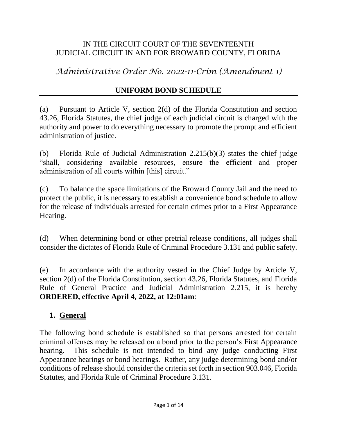#### IN THE CIRCUIT COURT OF THE SEVENTEENTH JUDICIAL CIRCUIT IN AND FOR BROWARD COUNTY, FLORIDA

*Administrative Order No. 2022-11-Crim (Amendment 1)*

# **UNIFORM BOND SCHEDULE**

(a) Pursuant to Article V, section 2(d) of the Florida Constitution and section 43.26, Florida Statutes, the chief judge of each judicial circuit is charged with the authority and power to do everything necessary to promote the prompt and efficient administration of justice.

(b) Florida Rule of Judicial Administration 2.215(b)(3) states the chief judge "shall, considering available resources, ensure the efficient and proper administration of all courts within [this] circuit."

(c) To balance the space limitations of the Broward County Jail and the need to protect the public, it is necessary to establish a convenience bond schedule to allow for the release of individuals arrested for certain crimes prior to a First Appearance Hearing.

(d) When determining bond or other pretrial release conditions, all judges shall consider the dictates of Florida Rule of Criminal Procedure 3.131 and public safety.

(e) In accordance with the authority vested in the Chief Judge by Article V, section 2(d) of the Florida Constitution, section 43.26, Florida Statutes, and Florida Rule of General Practice and Judicial Administration 2.215, it is hereby **ORDERED, effective April 4, 2022, at 12:01am**:

#### **1. General**

The following bond schedule is established so that persons arrested for certain criminal offenses may be released on a bond prior to the person's First Appearance hearing. This schedule is not intended to bind any judge conducting First Appearance hearings or bond hearings. Rather, any judge determining bond and/or conditions of release should consider the criteria set forth in section 903.046, Florida Statutes, and Florida Rule of Criminal Procedure 3.131.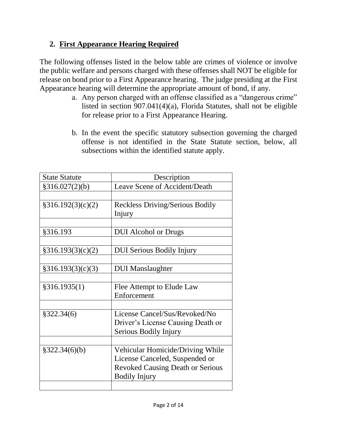# **2. First Appearance Hearing Required**

The following offenses listed in the below table are crimes of violence or involve the public welfare and persons charged with these offenses shall NOT be eligible for release on bond prior to a First Appearance hearing. The judge presiding at the First Appearance hearing will determine the appropriate amount of bond, if any.

- a. Any person charged with an offense classified as a "dangerous crime" listed in section 907.041(4)(a), Florida Statutes, shall not be eligible for release prior to a First Appearance Hearing.
- b. In the event the specific statutory subsection governing the charged offense is not identified in the State Statute section, below, all subsections within the identified statute apply.

| <b>State Statute</b> | Description                             |
|----------------------|-----------------------------------------|
| §316.027(2)(b)       | Leave Scene of Accident/Death           |
|                      |                                         |
| §316.192(3)(c)(2)    | <b>Reckless Driving/Serious Bodily</b>  |
|                      | Injury                                  |
|                      |                                         |
| §316.193             | <b>DUI</b> Alcohol or Drugs             |
|                      |                                         |
| \$316.193(3)(c)(2)   | <b>DUI Serious Bodily Injury</b>        |
|                      |                                         |
| §316.193(3)(c)(3)    | <b>DUI</b> Manslaughter                 |
|                      |                                         |
| §316.1935(1)         | Flee Attempt to Elude Law               |
|                      | Enforcement                             |
|                      |                                         |
| \$322.34(6)          | License Cancel/Sus/Revoked/No           |
|                      | Driver's License Causing Death or       |
|                      | Serious Bodily Injury                   |
|                      |                                         |
| §322.34(6)(b)        | Vehicular Homicide/Driving While        |
|                      | License Canceled, Suspended or          |
|                      | <b>Revoked Causing Death or Serious</b> |
|                      | <b>Bodily Injury</b>                    |
|                      |                                         |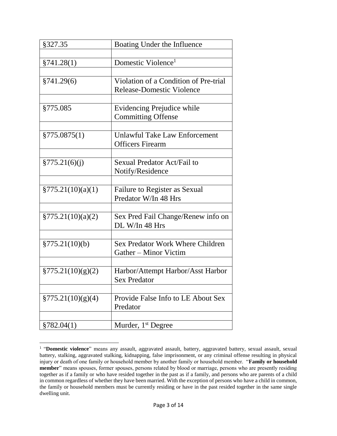| §327.35               | Boating Under the Influence             |
|-----------------------|-----------------------------------------|
|                       |                                         |
| §741.28(1)            | Domestic Violence <sup>1</sup>          |
|                       |                                         |
| §741.29(6)            | Violation of a Condition of Pre-trial   |
|                       | <b>Release-Domestic Violence</b>        |
|                       |                                         |
| §775.085              | Evidencing Prejudice while              |
|                       | <b>Committing Offense</b>               |
|                       |                                         |
| $\S 775.0875(1)$      | <b>Unlawful Take Law Enforcement</b>    |
|                       | <b>Officers Firearm</b>                 |
|                       |                                         |
| \$775.21(6)(i)        | Sexual Predator Act/Fail to             |
|                       | Notify/Residence                        |
|                       |                                         |
| \$775.21(10)(a)(1)    | Failure to Register as Sexual           |
|                       | Predator W/In 48 Hrs                    |
|                       |                                         |
| $\S 775.21(10)(a)(2)$ | Sex Pred Fail Change/Renew info on      |
|                       | DL W/In 48 Hrs                          |
|                       |                                         |
| §775.21(10)(b)        | <b>Sex Predator Work Where Children</b> |
|                       | Gather – Minor Victim                   |
|                       |                                         |
| $\S 775.21(10)(g)(2)$ | Harbor/Attempt Harbor/Asst Harbor       |
|                       | <b>Sex Predator</b>                     |
|                       |                                         |
| \$775.21(10)(g)(4)    | Provide False Info to LE About Sex      |
|                       | Predator                                |
|                       |                                         |
| §782.04(1)            | Murder, 1 <sup>st</sup> Degree          |

 $\overline{a}$ 

<sup>&</sup>lt;sup>1</sup> "Domestic violence" means any assault, aggravated assault, battery, aggravated battery, sexual assault, sexual battery, stalking, aggravated stalking, kidnapping, false imprisonment, or any criminal offense resulting in physical injury or death of one family or household member by another family or household member. "**Family or household member**" means spouses, former spouses, persons related by blood or marriage, persons who are presently residing together as if a family or who have resided together in the past as if a family, and persons who are parents of a child in common regardless of whether they have been married. With the exception of persons who have a child in common, the family or household members must be currently residing or have in the past resided together in the same single dwelling unit.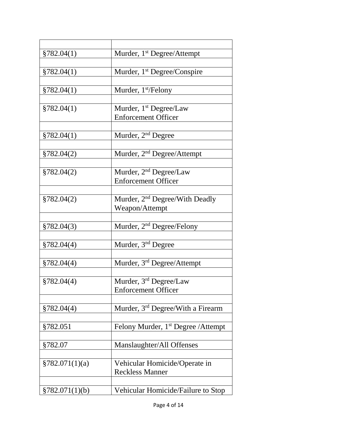| §782.04(1)      | Murder, 1 <sup>st</sup> Degree/Attempt                  |
|-----------------|---------------------------------------------------------|
|                 |                                                         |
| §782.04(1)      | Murder, 1 <sup>st</sup> Degree/Conspire                 |
| §782.04(1)      | Murder, $1st/Felony$                                    |
|                 |                                                         |
| §782.04(1)      | Murder, 1 <sup>st</sup> Degree/Law                      |
|                 | <b>Enforcement Officer</b>                              |
|                 |                                                         |
| §782.04(1)      | Murder, 2 <sup>nd</sup> Degree                          |
| \$782.04(2)     | Murder, 2 <sup>nd</sup> Degree/Attempt                  |
|                 |                                                         |
| \$782.04(2)     | Murder, 2 <sup>nd</sup> Degree/Law                      |
|                 | <b>Enforcement Officer</b>                              |
|                 |                                                         |
| §782.04(2)      | Murder, 2 <sup>nd</sup> Degree/With Deadly              |
|                 | Weapon/Attempt                                          |
|                 | Murder, 2 <sup>nd</sup> Degree/Felony                   |
| §782.04(3)      |                                                         |
| §782.04(4)      | Murder, 3 <sup>nd</sup> Degree                          |
|                 |                                                         |
| §782.04(4)      | Murder, $3rd$ Degree/Attempt                            |
|                 |                                                         |
| §782.04(4)      | Murder, 3 <sup>rd</sup> Degree/Law                      |
|                 | <b>Enforcement Officer</b>                              |
| §782.04(4)      | Murder, 3 <sup>rd</sup> Degree/With a Firearm           |
|                 |                                                         |
| §782.051        | Felony Murder, 1 <sup>st</sup> Degree / Attempt         |
|                 |                                                         |
| §782.07         | Manslaughter/All Offenses                               |
|                 |                                                         |
| \$782.071(1)(a) | Vehicular Homicide/Operate in<br><b>Reckless Manner</b> |
|                 |                                                         |
| §782.071(1)(b)  | Vehicular Homicide/Failure to Stop                      |
|                 |                                                         |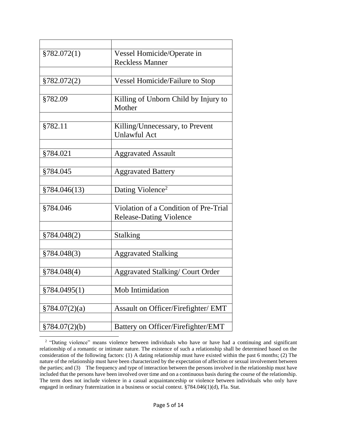| §782.072(1)    | Vessel Homicide/Operate in             |
|----------------|----------------------------------------|
|                | <b>Reckless Manner</b>                 |
|                |                                        |
| §782.072(2)    | <b>Vessel Homicide/Failure to Stop</b> |
|                |                                        |
| §782.09        | Killing of Unborn Child by Injury to   |
|                | Mother                                 |
|                |                                        |
| §782.11        | Killing/Unnecessary, to Prevent        |
|                | <b>Unlawful Act</b>                    |
|                |                                        |
| §784.021       | <b>Aggravated Assault</b>              |
|                |                                        |
| §784.045       | <b>Aggravated Battery</b>              |
|                |                                        |
| §784.046(13)   | Dating Violence <sup>2</sup>           |
|                |                                        |
| §784.046       | Violation of a Condition of Pre-Trial  |
|                | <b>Release-Dating Violence</b>         |
|                |                                        |
| §784.048(2)    | <b>Stalking</b>                        |
|                |                                        |
| §784.048(3)    | <b>Aggravated Stalking</b>             |
|                |                                        |
| §784.048(4)    | <b>Aggravated Stalking/Court Order</b> |
|                |                                        |
| §784.0495(1)   | Mob Intimidation                       |
|                |                                        |
| \$784.07(2)(a) | Assault on Officer/Firefighter/ EMT    |
|                |                                        |
| \$784.07(2)(b) | Battery on Officer/Firefighter/EMT     |
|                |                                        |

 $\overline{a}$ 

<sup>&</sup>lt;sup>2</sup> "Dating violence" means violence between individuals who have or have had a continuing and significant relationship of a romantic or intimate nature. The existence of such a relationship shall be determined based on the consideration of the following factors: (1) A dating relationship must have existed within the past 6 months; (2) The nature of the relationship must have been characterized by the expectation of affection or sexual involvement between the parties; and (3) The frequency and type of interaction between the persons involved in the relationship must have included that the persons have been involved over time and on a continuous basis during the course of the relationship. The term does not include violence in a casual acquaintanceship or violence between individuals who only have engaged in ordinary fraternization in a business or social context. §784.046(1)(d), Fla. Stat.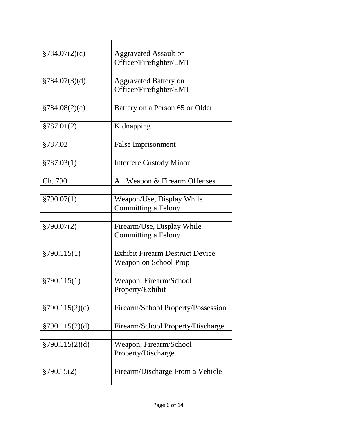| \$784.07(2)(c)     | <b>Aggravated Assault on</b>           |
|--------------------|----------------------------------------|
|                    | Officer/Firefighter/EMT                |
|                    |                                        |
| $\S 784.07(3)(d)$  | <b>Aggravated Battery on</b>           |
|                    | Officer/Firefighter/EMT                |
|                    |                                        |
| §784.08(2)(c)      | Battery on a Person 65 or Older        |
|                    |                                        |
| §787.01(2)         | Kidnapping                             |
|                    |                                        |
| §787.02            | <b>False Imprisonment</b>              |
|                    |                                        |
| §787.03(1)         | <b>Interfere Custody Minor</b>         |
|                    |                                        |
| Ch. 790            | All Weapon & Firearm Offenses          |
|                    |                                        |
| \$790.07(1)        | Weapon/Use, Display While              |
|                    | <b>Committing a Felony</b>             |
|                    |                                        |
| \$790.07(2)        | Firearm/Use, Display While             |
|                    | <b>Committing a Felony</b>             |
|                    |                                        |
| §790.115(1)        | <b>Exhibit Firearm Destruct Device</b> |
|                    | <b>Weapon on School Prop</b>           |
|                    |                                        |
| §790.115(1)        | Weapon, Firearm/School                 |
|                    | Property/Exhibit                       |
|                    |                                        |
| \$790.115(2)(c)    | Firearm/School Property/Possession     |
|                    |                                        |
| $\S 790.115(2)(d)$ | Firearm/School Property/Discharge      |
|                    |                                        |
| $\S 790.115(2)(d)$ | Weapon, Firearm/School                 |
|                    | Property/Discharge                     |
|                    |                                        |
| §790.15(2)         | Firearm/Discharge From a Vehicle       |
|                    |                                        |
|                    |                                        |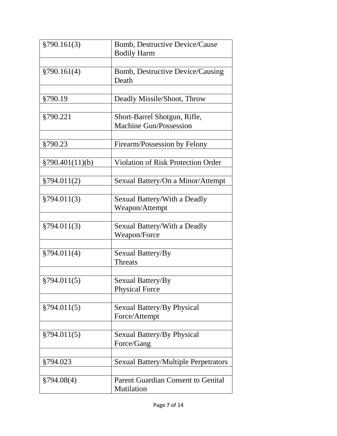| §790.161(3)     | Bomb, Destructive Device/Cause<br><b>Bodily Harm</b> |
|-----------------|------------------------------------------------------|
|                 |                                                      |
| §790.161(4)     | Bomb, Destructive Device/Causing<br>Death            |
|                 |                                                      |
| §790.19         | Deadly Missile/Shoot, Throw                          |
|                 |                                                      |
| §790.221        | Short-Barrel Shotgun, Rifle,                         |
|                 | <b>Machine Gun/Possession</b>                        |
|                 |                                                      |
| §790.23         | Firearm/Possession by Felony                         |
|                 |                                                      |
| §790.401(11)(b) | <b>Violation of Risk Protection Order</b>            |
|                 |                                                      |
| §794.011(2)     | Sexual Battery/On a Minor/Attempt                    |
|                 |                                                      |
| §794.011(3)     | Sexual Battery/With a Deadly                         |
|                 | Weapon/Attempt                                       |
|                 |                                                      |
| §794.011(3)     | Sexual Battery/With a Deadly                         |
|                 | Weapon/Force                                         |
|                 |                                                      |
| §794.011(4)     | Sexual Battery/By                                    |
|                 | Threats                                              |
|                 |                                                      |
| §794.011(5)     | Sexual Battery/By                                    |
|                 | <b>Physical Force</b>                                |
|                 |                                                      |
| §794.011(5)     | Sexual Battery/By Physical                           |
|                 | Force/Attempt                                        |
|                 |                                                      |
| §794.011(5)     | Sexual Battery/By Physical                           |
|                 | Force/Gang                                           |
|                 |                                                      |
| §794.023        | <b>Sexual Battery/Multiple Perpetrators</b>          |
|                 |                                                      |
| $\S 794.08(4)$  | <b>Parent Guardian Consent to Genital</b>            |
|                 | Mutilation                                           |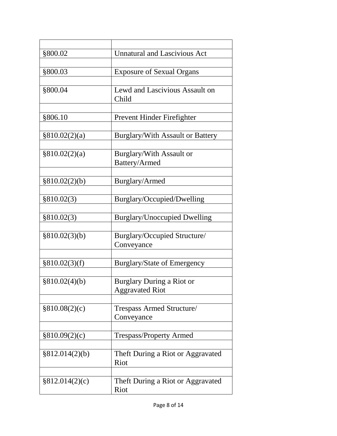| §800.02        | <b>Unnatural and Lascivious Act</b>     |
|----------------|-----------------------------------------|
|                |                                         |
| §800.03        | <b>Exposure of Sexual Organs</b>        |
|                |                                         |
| §800.04        | Lewd and Lascivious Assault on<br>Child |
|                |                                         |
| §806.10        | Prevent Hinder Firefighter              |
|                |                                         |
| §810.02(2)(a)  | <b>Burglary/With Assault or Battery</b> |
|                |                                         |
| §810.02(2)(a)  | Burglary/With Assault or                |
|                | Battery/Armed                           |
|                |                                         |
| §810.02(2)(b)  | Burglary/Armed                          |
|                |                                         |
| §810.02(3)     | Burglary/Occupied/Dwelling              |
|                |                                         |
| §810.02(3)     | <b>Burglary/Unoccupied Dwelling</b>     |
|                |                                         |
| §810.02(3)(b)  | Burglary/Occupied Structure/            |
|                | Conveyance                              |
|                |                                         |
| §810.02(3)(f)  | <b>Burglary/State of Emergency</b>      |
|                |                                         |
| §810.02(4)(b)  | <b>Burglary During a Riot or</b>        |
|                | <b>Aggravated Riot</b>                  |
|                |                                         |
| \$810.08(2)(c) | Trespass Armed Structure/               |
|                | Conveyance                              |
|                |                                         |
| §810.09(2)(c)  | <b>Trespass/Property Armed</b>          |
|                |                                         |
| §812.014(2)(b) | Theft During a Riot or Aggravated       |
|                | Riot                                    |
|                |                                         |
| §812.014(2)(c) | Theft During a Riot or Aggravated       |
|                | Riot                                    |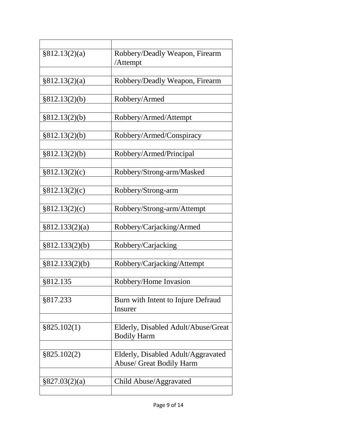| §812.13(2)(a)     | Robbery/Deadly Weapon, Firearm                                        |
|-------------------|-----------------------------------------------------------------------|
|                   | /Attempt                                                              |
| §812.13(2)(a)     | Robbery/Deadly Weapon, Firearm                                        |
|                   |                                                                       |
| §812.13(2)(b)     | Robbery/Armed                                                         |
|                   |                                                                       |
| §812.13(2)(b)     | Robbery/Armed/Attempt                                                 |
| §812.13(2)(b)     | Robbery/Armed/Conspiracy                                              |
|                   |                                                                       |
| §812.13(2)(b)     | Robbery/Armed/Principal                                               |
|                   |                                                                       |
| §812.13(2)(c)     | Robbery/Strong-arm/Masked                                             |
| §812.13(2)(c)     | Robbery/Strong-arm                                                    |
|                   |                                                                       |
| §812.13(2)(c)     | Robbery/Strong-arm/Attempt                                            |
|                   |                                                                       |
| §812.133(2)(a)    | Robbery/Carjacking/Armed                                              |
| §812.133(2)(b)    | Robbery/Carjacking                                                    |
|                   |                                                                       |
| §812.133(2)(b)    | Robbery/Carjacking/Attempt                                            |
|                   |                                                                       |
| §812.135          | Robbery/Home Invasion                                                 |
|                   |                                                                       |
| §817.233          | Burn with Intent to Injure Defraud<br>Insurer                         |
|                   |                                                                       |
| §825.102(1)       | Elderly, Disabled Adult/Abuse/Great                                   |
|                   | <b>Bodily Harm</b>                                                    |
|                   |                                                                       |
| §825.102(2)       | Elderly, Disabled Adult/Aggravated<br><b>Abuse/ Great Bodily Harm</b> |
|                   |                                                                       |
| $\S 827.03(2)(a)$ | Child Abuse/Aggravated                                                |
|                   |                                                                       |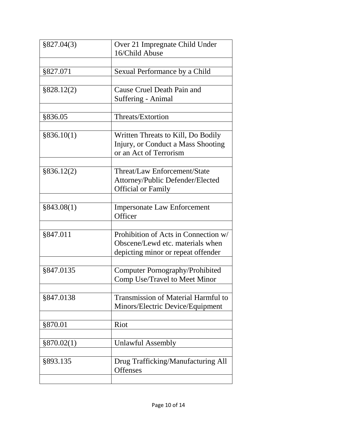| §827.04(3) | Over 21 Impregnate Child Under<br>16/Child Abuse |
|------------|--------------------------------------------------|
|            |                                                  |
| \$827.071  | Sexual Performance by a Child                    |
|            |                                                  |
| §828.12(2) | Cause Cruel Death Pain and                       |
|            | Suffering - Animal                               |
|            |                                                  |
| §836.05    | Threats/Extortion                                |
|            |                                                  |
| §836.10(1) | Written Threats to Kill, Do Bodily               |
|            | Injury, or Conduct a Mass Shooting               |
|            | or an Act of Terrorism                           |
|            |                                                  |
| §836.12(2) | Threat/Law Enforcement/State                     |
|            | Attorney/Public Defender/Elected                 |
|            | <b>Official or Family</b>                        |
|            |                                                  |
| §843.08(1) | <b>Impersonate Law Enforcement</b>               |
|            | Officer                                          |
|            |                                                  |
| \$847.011  | Prohibition of Acts in Connection w/             |
|            | Obscene/Lewd etc. materials when                 |
|            | depicting minor or repeat offender               |
|            |                                                  |
| §847.0135  | <b>Computer Pornography/Prohibited</b>           |
|            | Comp Use/Travel to Meet Minor                    |
|            |                                                  |
| §847.0138  | <b>Transmission of Material Harmful to</b>       |
|            | Minors/Electric Device/Equipment                 |
|            |                                                  |
| §870.01    | Riot                                             |
|            |                                                  |
| §870.02(1) | <b>Unlawful Assembly</b>                         |
|            |                                                  |
| §893.135   | Drug Trafficking/Manufacturing All               |
|            | <b>Offenses</b>                                  |
|            |                                                  |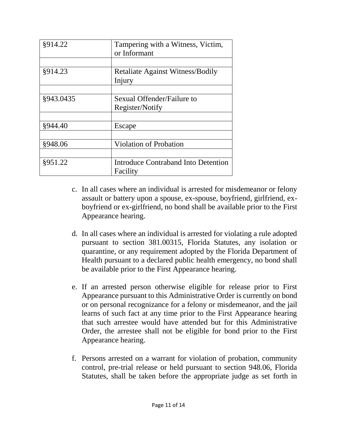| §914.22   | Tampering with a Witness, Victim,<br>or Informant |
|-----------|---------------------------------------------------|
|           |                                                   |
| §914.23   | <b>Retaliate Against Witness/Bodily</b><br>Injury |
|           |                                                   |
| §943.0435 | Sexual Offender/Failure to<br>Register/Notify     |
|           |                                                   |
| §944.40   | Escape                                            |
|           |                                                   |
| §948.06   | <b>Violation of Probation</b>                     |
|           |                                                   |
| §951.22   | Introduce Contraband Into Detention<br>Facility   |

- c. In all cases where an individual is arrested for misdemeanor or felony assault or battery upon a spouse, ex-spouse, boyfriend, girlfriend, exboyfriend or ex-girlfriend, no bond shall be available prior to the First Appearance hearing.
- d. In all cases where an individual is arrested for violating a rule adopted pursuant to section 381.00315, Florida Statutes, any isolation or quarantine, or any requirement adopted by the Florida Department of Health pursuant to a declared public health emergency, no bond shall be available prior to the First Appearance hearing.
- e. If an arrested person otherwise eligible for release prior to First Appearance pursuant to this Administrative Order is currently on bond or on personal recognizance for a felony or misdemeanor, and the jail learns of such fact at any time prior to the First Appearance hearing that such arrestee would have attended but for this Administrative Order, the arrestee shall not be eligible for bond prior to the First Appearance hearing.
- f. Persons arrested on a warrant for violation of probation, community control, pre-trial release or held pursuant to section 948.06, Florida Statutes, shall be taken before the appropriate judge as set forth in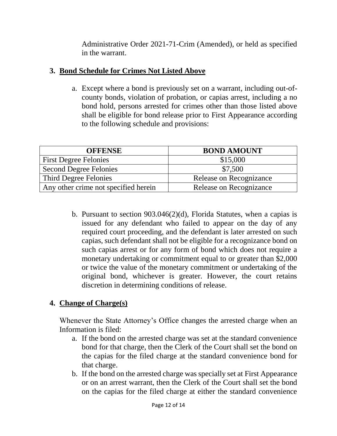Administrative Order 2021-71-Crim (Amended), or held as specified in the warrant.

### **3. Bond Schedule for Crimes Not Listed Above**

a. Except where a bond is previously set on a warrant, including out-ofcounty bonds, violation of probation, or capias arrest, including a no bond hold, persons arrested for crimes other than those listed above shall be eligible for bond release prior to First Appearance according to the following schedule and provisions:

| <b>OFFENSE</b>                       | <b>BOND AMOUNT</b>      |
|--------------------------------------|-------------------------|
| <b>First Degree Felonies</b>         | \$15,000                |
| <b>Second Degree Felonies</b>        | \$7,500                 |
| Third Degree Felonies                | Release on Recognizance |
| Any other crime not specified herein | Release on Recognizance |

b. Pursuant to section 903.046(2)(d), Florida Statutes, when a capias is issued for any defendant who failed to appear on the day of any required court proceeding, and the defendant is later arrested on such capias, such defendant shall not be eligible for a recognizance bond on such capias arrest or for any form of bond which does not require a monetary undertaking or commitment equal to or greater than \$2,000 or twice the value of the monetary commitment or undertaking of the original bond, whichever is greater. However, the court retains discretion in determining conditions of release.

## **4. Change of Charge(s)**

Whenever the State Attorney's Office changes the arrested charge when an Information is filed:

- a. If the bond on the arrested charge was set at the standard convenience bond for that charge, then the Clerk of the Court shall set the bond on the capias for the filed charge at the standard convenience bond for that charge.
- b. If the bond on the arrested charge was specially set at First Appearance or on an arrest warrant, then the Clerk of the Court shall set the bond on the capias for the filed charge at either the standard convenience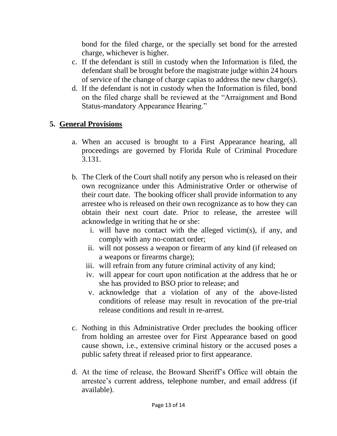bond for the filed charge, or the specially set bond for the arrested charge, whichever is higher.

- c. If the defendant is still in custody when the Information is filed, the defendant shall be brought before the magistrate judge within 24 hours of service of the change of charge capias to address the new charge(s).
- d. If the defendant is not in custody when the Information is filed, bond on the filed charge shall be reviewed at the "Arraignment and Bond Status-mandatory Appearance Hearing."

## **5. General Provisions**

- a. When an accused is brought to a First Appearance hearing, all proceedings are governed by Florida Rule of Criminal Procedure 3.131.
- b. The Clerk of the Court shall notify any person who is released on their own recognizance under this Administrative Order or otherwise of their court date. The booking officer shall provide information to any arrestee who is released on their own recognizance as to how they can obtain their next court date. Prior to release, the arrestee will acknowledge in writing that he or she:
	- i. will have no contact with the alleged victim(s), if any, and comply with any no-contact order;
	- ii. will not possess a weapon or firearm of any kind (if released on a weapons or firearms charge);
	- iii. will refrain from any future criminal activity of any kind;
	- iv. will appear for court upon notification at the address that he or she has provided to BSO prior to release; and
	- v. acknowledge that a violation of any of the above-listed conditions of release may result in revocation of the pre-trial release conditions and result in re-arrest.
- c. Nothing in this Administrative Order precludes the booking officer from holding an arrestee over for First Appearance based on good cause shown, i.e., extensive criminal history or the accused poses a public safety threat if released prior to first appearance.
- d. At the time of release, the Broward Sheriff's Office will obtain the arrestee's current address, telephone number, and email address (if available).